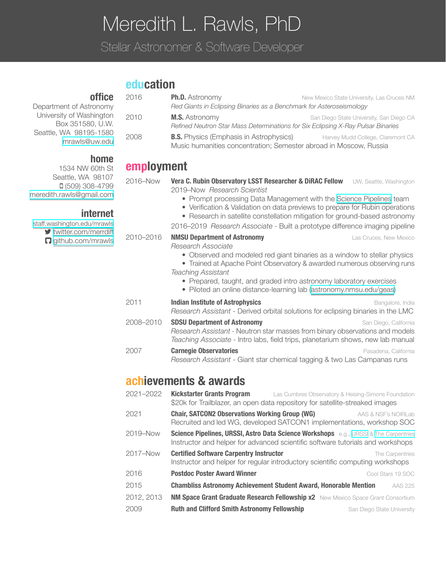# Meredith L. Rawls, PhD

Stellar Astronomer & Software Developer

# **education**

| 2016       | <b>Ph.D.</b> Astronomy<br>New Mexico State University, Las Cruces NM<br>Red Giants in Eclipsing Binaries as a Benchmark for Asteroseismology                                                                                                                                                                            |  |
|------------|-------------------------------------------------------------------------------------------------------------------------------------------------------------------------------------------------------------------------------------------------------------------------------------------------------------------------|--|
| 2010       | <b>M.S.</b> Astronomy<br>San Diego State University, San Diego CA<br>Refined Neutron Star Mass Determinations for Six Eclipsing X-Ray Pulsar Binaries                                                                                                                                                                   |  |
| 2008       | <b>B.S.</b> Physics (Emphasis in Astrophysics)<br>Harvey Mudd College, Claremont CA<br>Music humanities concentration; Semester abroad in Moscow, Russia                                                                                                                                                                |  |
| employment |                                                                                                                                                                                                                                                                                                                         |  |
| 2016-Now   | Vera C. Rubin Observatory LSST Researcher & DiRAC Fellow<br>UW, Seattle, Washington<br>2019-Now Research Scientist<br>• Prompt processing Data Management with the Science Pipelines team                                                                                                                               |  |
|            | • Verification & Validation on data previews to prepare for Rubin operations<br>• Research in satellite constellation mitigation for ground-based astronomy                                                                                                                                                             |  |
|            | 2016-2019 Research Associate - Built a prototype difference imaging pipeline                                                                                                                                                                                                                                            |  |
| 2010-2016  | <b>NMSU Department of Astronomy</b><br>Las Cruces, New Mexico<br>Research Associate                                                                                                                                                                                                                                     |  |
|            | • Observed and modeled red giant binaries as a window to stellar physics<br>• Trained at Apache Point Observatory & awarded numerous observing runs<br>Teaching Assistant<br>• Prepared, taught, and graded intro astronomy laboratory exercises<br>· Piloted an online distance-learning lab (astronomy.nmsu.edu/geas) |  |
| 2011       | <b>Indian Institute of Astrophysics</b><br>Bangalore, India<br>Research Assistant - Derived orbital solutions for eclipsing binaries in the LMC                                                                                                                                                                         |  |
| 2008-2010  | <b>SDSU Department of Astronomy</b><br>San Diego, California<br>Research Assistant - Neutron star masses from binary observations and models<br>Teaching Associate - Intro labs, field trips, planetarium shows, new lab manual                                                                                         |  |
| 2007       | <b>Carnegie Observatories</b><br>Pasadena, California<br>Research Assistant - Giant star chemical tagging & two Las Campanas runs                                                                                                                                                                                       |  |
|            | achievements & awards                                                                                                                                                                                                                                                                                                   |  |
| 2021-2022  | <b>Kickstarter Grants Program</b><br>Las Cumbres Observatory & Heising-Simons Foundation<br>\$20k for Trailblazer, an open data repository for satellite-streaked images                                                                                                                                                |  |
| 2021       | <b>Chair, SATCON2 Observations Working Group (WG)</b><br>AAS & NSF's NOIRLab<br>Recruited and led WG, developed SATCON1 implementations, workshop SOC                                                                                                                                                                   |  |
| 2019-Now   | Science Pipelines, URSSI, Astro Data Science Workshops e.g., URSSI & The Carpentries<br>Instructor and helper for advanced scientific software tutorials and workshops                                                                                                                                                  |  |
| 2017-Now   | <b>Certified Software Carpentry Instructor</b><br>The Carpentries<br>Instructor and helper for regular introductory scientific computing workshops                                                                                                                                                                      |  |

- **2016 Postdoc Poster Award Winner Postoc Poster Award Winner Cool Stars 19 SOC**
- 2015 **Chambliss Astronomy Achievement Student Award, Honorable Mention** AAS 225
- 2012, 2013 **NM Space Grant Graduate Research Fellowship x2** New Mexico Space Grant Consortium **2009 Ruth and Clifford Smith Astronomy Fellowship** San Diego State University

## **office**

Department of Astron University of Washir Box 351580, Seattle, WA 98195mrawls@uv

#### **home**

1534 NW 60 Seattle, WA 9  $(509) 308$ meredith.rawls@gmai

#### **inte**

staff.washington.edu/n  $\blacktriangleright$  twitter.com/merr  $\Box$  github.com/m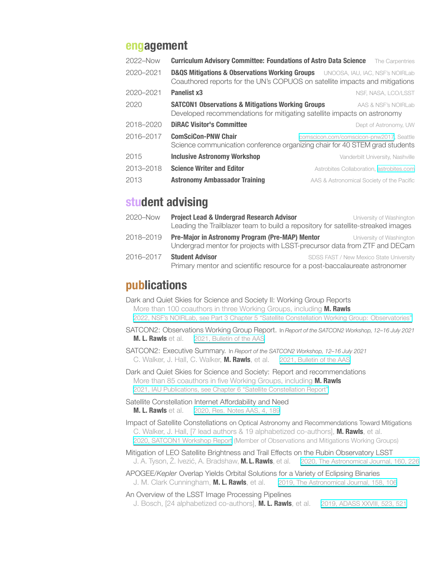### **engagement**

| 2022-Now  | <b>Curriculum Advisory Committee: Foundations of Astro Data Science</b>                                                                                                      | The Carpentries                           |
|-----------|------------------------------------------------------------------------------------------------------------------------------------------------------------------------------|-------------------------------------------|
| 2020-2021 | <b>D&amp;QS Mitigations &amp; Observations Working Groups</b> UNOOSA, IAU, IAC, NSF's NOIRLab<br>Coauthored reports for the UN's COPUOS on satellite impacts and mitigations |                                           |
| 2020-2021 | Panelist x3                                                                                                                                                                  | NSF. NASA. LCO/LSST                       |
| 2020      | <b>SATCON1 Observations &amp; Mitigations Working Groups</b><br>Developed recommendations for mitigating satellite impacts on astronomy                                      | AAS & NSF's NOIRLab                       |
| 2018-2020 | <b>DIRAC Visitor's Committee</b>                                                                                                                                             | Dept of Astronomy, UW                     |
| 2016-2017 | <b>ComSciCon-PNW Chair</b><br>Science communication conference organizing chair for 40 STEM grad students                                                                    | comscicon.com/comscicon-pnw2017, Seattle  |
| 2015      | <b>Inclusive Astronomy Workshop</b>                                                                                                                                          | Vanderbilt University, Nashville          |
| 2013-2018 | <b>Science Writer and Editor</b>                                                                                                                                             | Astrobites Collaboration, astrobites.com  |
| 2013      | <b>Astronomy Ambassador Training</b>                                                                                                                                         | AAS & Astronomical Society of the Pacific |

# **student advising**

| 2020–Now  | <b>Project Lead &amp; Undergrad Research Advisor</b><br>Leading the Trailblazer team to build a repository for satellite-streaked images | University of Washington                |
|-----------|------------------------------------------------------------------------------------------------------------------------------------------|-----------------------------------------|
| 2018–2019 | Pre-Major in Astronomy Program (Pre-MAP) Mentor<br>Undergrad mentor for projects with LSST-precursor data from ZTF and DECam             | University of Washington                |
| 2016–2017 | <b>Student Advisor</b><br>Primary mentor and scientific resource for a post-baccalaureate astronomer                                     | SDSS FAST / New Mexico State University |

## **publications**

Dark and Quiet Skies for Science and Society II: Working Group Reports More than 100 coauthors in three Working Groups, including **M. Rawls** 2022, NSF's NOIRLab, [see Part 3 Chapter 5 "Satellite Constellation Working Group:](https://zenodo.org/record/5874725#.Yei59S-B1qs) Observatories"

SATCON2: Observations Working Group Report. In *Report of the SATCON2 Workshop, 12–16 July 2021* **M. L. Rawls** et al. 2021, [Bulletin of the AAS](https://baas.aas.org/pub/004iuwwu)

SATCON2: Executive Summary. In *Report of the SATCON2 Workshop, 12–16 July 2021* C. Walker, J. Hall, C. Walker, **M. Rawls**, et al. 2021, [Bulletin of the AAS](https://baas.aas.org/pub/2021i0205)

Dark and Quiet Skies for Science and Society: Report and recommendations More than 85 coauthors in five Working Groups, including **M. Rawls** 2021, IAU Publications, [see Chapter 6 "Satellite Constellation Report"](https://www.iau.org/static/publications/dqskies-book-29-12-20.pdf)

Satellite Constellation Internet Affordability and Need **M. L. Rawls** et al. 2020, Res. [Notes AAS, 4,](https://doi.org/10.3847/2515-5172/abc48e) 189

Impact of Satellite Constellations on Optical Astronomy and Recommendations Toward Mitigations C. Walker, J. Hall, [7 lead authors & 19 alphabetized co-authors], **M. Rawls**, et al. 2020, [SATCON1 Workshop Report](https://aas.org/satellite-constellations-1-workshop-report) (Member of Observations and Mitigations Working Groups)

Mitigation of LEO Satellite Brightness and Trail Effects on the Rubin Observatory LSST J. A. Tyson, Ž. Ivezić, A. Bradshaw, **M. L. Rawls**, et al. 2020, [The Astronomical Journal,](https://doi.org/10.3847/1538-3881/abba3e) 160, 226

APOGEE/*Kepler* Overlap Yields Orbital Solutions for a Variety of Eclipsing Binaries J. M. Clark Cunningham, **M. L. Rawls**, et al. 2019, [The Astronomical Journal,](https://ui.adsabs.harvard.edu/abs/2019AJ....158..106C/abstract) 158, 106

An Overview of the LSST Image Processing Pipelines

J. Bosch, [24 alphabetized co-authors], **M. L. Rawls**, et al. 2019, ADASS [XXVIII, 523,](https://ui.adsabs.harvard.edu/#abs/2018arXiv181203248B/abstract) 521